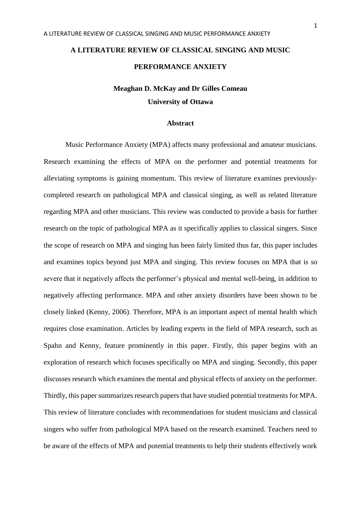# **Meaghan D. McKay and Dr Gilles Comeau University of Ottawa**

# **Abstract**

Music Performance Anxiety (MPA) affects many professional and amateur musicians. Research examining the effects of MPA on the performer and potential treatments for alleviating symptoms is gaining momentum. This review of literature examines previouslycompleted research on pathological MPA and classical singing, as well as related literature regarding MPA and other musicians. This review was conducted to provide a basis for further research on the topic of pathological MPA as it specifically applies to classical singers. Since the scope of research on MPA and singing has been fairly limited thus far, this paper includes and examines topics beyond just MPA and singing. This review focuses on MPA that is so severe that it negatively affects the performer's physical and mental well-being, in addition to negatively affecting performance. MPA and other anxiety disorders have been shown to be closely linked (Kenny, 2006). Therefore, MPA is an important aspect of mental health which requires close examination. Articles by leading experts in the field of MPA research, such as Spahn and Kenny, feature prominently in this paper. Firstly, this paper begins with an exploration of research which focuses specifically on MPA and singing. Secondly, this paper discusses research which examines the mental and physical effects of anxiety on the performer. Thirdly, this paper summarizes research papers that have studied potential treatments for MPA. This review of literature concludes with recommendations for student musicians and classical singers who suffer from pathological MPA based on the research examined. Teachers need to be aware of the effects of MPA and potential treatments to help their students effectively work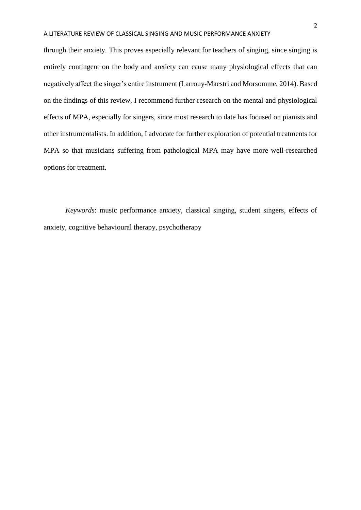through their anxiety. This proves especially relevant for teachers of singing, since singing is entirely contingent on the body and anxiety can cause many physiological effects that can negatively affect the singer's entire instrument (Larrouy-Maestri and Morsomme, 2014). Based on the findings of this review, I recommend further research on the mental and physiological effects of MPA, especially for singers, since most research to date has focused on pianists and other instrumentalists. In addition, I advocate for further exploration of potential treatments for MPA so that musicians suffering from pathological MPA may have more well-researched options for treatment.

*Keywords*: music performance anxiety, classical singing, student singers, effects of anxiety, cognitive behavioural therapy, psychotherapy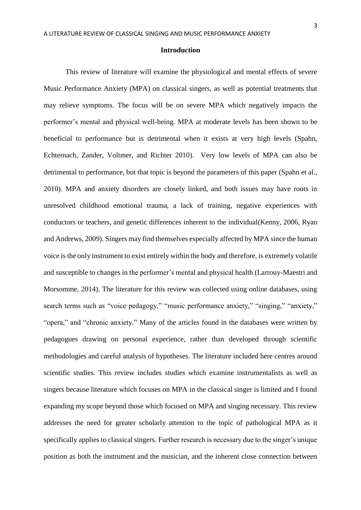# **Introduction**

This review of literature will examine the physiological and mental effects of severe Music Performance Anxiety (MPA) on classical singers, as well as potential treatments that may relieve symptoms. The focus will be on severe MPA which negatively impacts the performer's mental and physical well-being. MPA at moderate levels has been shown to be beneficial to performance but is detrimental when it exists at very high levels (Spahn, Echternach, Zander, Voltmer, and Richter 2010). Very low levels of MPA can also be detrimental to performance, but that topic is beyond the parameters of this paper (Spahn et al., 2010). MPA and anxiety disorders are closely linked, and both issues may have roots in unresolved childhood emotional trauma, a lack of training, negative experiences with conductors or teachers, and genetic differences inherent to the individual(Kenny, 2006, Ryan and Andrews, 2009). Singers may find themselves especially affected by MPA since the human voice is the only instrument to exist entirely within the body and therefore, is extremely volatile and susceptible to changes in the performer's mental and physical health (Larrouy-Maestri and Morsomme, 2014). The literature for this review was collected using online databases, using search terms such as "voice pedagogy," "music performance anxiety," "singing," "anxiety," "opera," and "chronic anxiety." Many of the articles found in the databases were written by pedagogues drawing on personal experience, rather than developed through scientific methodologies and careful analysis of hypotheses. The literature included here centres around scientific studies. This review includes studies which examine instrumentalists as well as singers because literature which focuses on MPA in the classical singer is limited and I found expanding my scope beyond those which focused on MPA and singing necessary. This review addresses the need for greater scholarly attention to the topic of pathological MPA as it specifically applies to classical singers. Further research is necessary due to the singer's unique position as both the instrument and the musician, and the inherent close connection between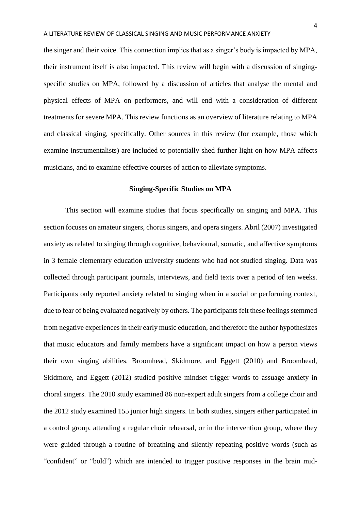the singer and their voice. This connection implies that as a singer's body is impacted by MPA, their instrument itself is also impacted. This review will begin with a discussion of singingspecific studies on MPA, followed by a discussion of articles that analyse the mental and physical effects of MPA on performers, and will end with a consideration of different treatments for severe MPA. This review functions as an overview of literature relating to MPA and classical singing, specifically. Other sources in this review (for example, those which examine instrumentalists) are included to potentially shed further light on how MPA affects musicians, and to examine effective courses of action to alleviate symptoms.

# **Singing-Specific Studies on MPA**

This section will examine studies that focus specifically on singing and MPA. This section focuses on amateur singers, chorus singers, and opera singers. Abril (2007) investigated anxiety as related to singing through cognitive, behavioural, somatic, and affective symptoms in 3 female elementary education university students who had not studied singing. Data was collected through participant journals, interviews, and field texts over a period of ten weeks. Participants only reported anxiety related to singing when in a social or performing context, due to fear of being evaluated negatively by others. The participants felt these feelings stemmed from negative experiences in their early music education, and therefore the author hypothesizes that music educators and family members have a significant impact on how a person views their own singing abilities. Broomhead, Skidmore, and Eggett (2010) and Broomhead, Skidmore, and Eggett (2012) studied positive mindset trigger words to assuage anxiety in choral singers. The 2010 study examined 86 non-expert adult singers from a college choir and the 2012 study examined 155 junior high singers. In both studies, singers either participated in a control group, attending a regular choir rehearsal, or in the intervention group, where they were guided through a routine of breathing and silently repeating positive words (such as "confident" or "bold") which are intended to trigger positive responses in the brain mid-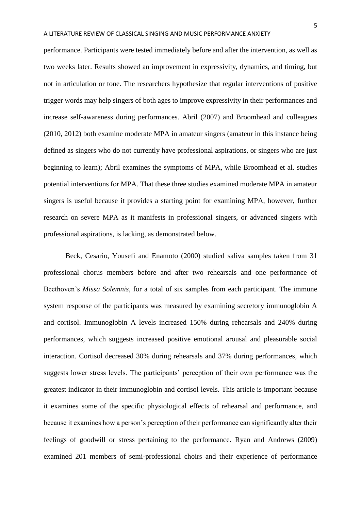performance. Participants were tested immediately before and after the intervention, as well as two weeks later. Results showed an improvement in expressivity, dynamics, and timing, but not in articulation or tone. The researchers hypothesize that regular interventions of positive trigger words may help singers of both ages to improve expressivity in their performances and increase self-awareness during performances. Abril (2007) and Broomhead and colleagues (2010, 2012) both examine moderate MPA in amateur singers (amateur in this instance being defined as singers who do not currently have professional aspirations, or singers who are just beginning to learn); Abril examines the symptoms of MPA, while Broomhead et al. studies potential interventions for MPA. That these three studies examined moderate MPA in amateur singers is useful because it provides a starting point for examining MPA, however, further research on severe MPA as it manifests in professional singers, or advanced singers with professional aspirations, is lacking, as demonstrated below.

Beck, Cesario, Yousefi and Enamoto (2000) studied saliva samples taken from 31 professional chorus members before and after two rehearsals and one performance of Beethoven's *Missa Solemnis*, for a total of six samples from each participant. The immune system response of the participants was measured by examining secretory immunoglobin A and cortisol. Immunoglobin A levels increased 150% during rehearsals and 240% during performances, which suggests increased positive emotional arousal and pleasurable social interaction. Cortisol decreased 30% during rehearsals and 37% during performances, which suggests lower stress levels. The participants' perception of their own performance was the greatest indicator in their immunoglobin and cortisol levels. This article is important because it examines some of the specific physiological effects of rehearsal and performance, and because it examines how a person's perception of their performance can significantly alter their feelings of goodwill or stress pertaining to the performance. Ryan and Andrews (2009) examined 201 members of semi-professional choirs and their experience of performance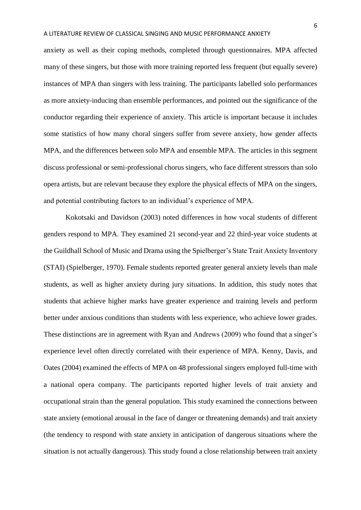anxiety as well as their coping methods, completed through questionnaires. MPA affected many of these singers, but those with more training reported less frequent (but equally severe) instances of MPA than singers with less training. The participants labelled solo performances as more anxiety-inducing than ensemble performances, and pointed out the significance of the conductor regarding their experience of anxiety. This article is important because it includes some statistics of how many choral singers suffer from severe anxiety, how gender affects MPA, and the differences between solo MPA and ensemble MPA. The articles in this segment discuss professional or semi-professional chorus singers, who face different stressors than solo opera artists, but are relevant because they explore the physical effects of MPA on the singers, and potential contributing factors to an individual's experience of MPA.

Kokotsaki and Davidson (2003) noted differences in how vocal students of different genders respond to MPA. They examined 21 second-year and 22 third-year voice students at the Guildhall School of Music and Drama using the Spielberger's State Trait Anxiety Inventory (STAI) (Spielberger, 1970). Female students reported greater general anxiety levels than male students, as well as higher anxiety during jury situations. In addition, this study notes that students that achieve higher marks have greater experience and training levels and perform better under anxious conditions than students with less experience, who achieve lower grades. These distinctions are in agreement with Ryan and Andrews (2009) who found that a singer's experience level often directly correlated with their experience of MPA. Kenny, Davis, and Oates (2004) examined the effects of MPA on 48 professional singers employed full-time with a national opera company. The participants reported higher levels of trait anxiety and occupational strain than the general population. This study examined the connections between state anxiety (emotional arousal in the face of danger or threatening demands) and trait anxiety (the tendency to respond with state anxiety in anticipation of dangerous situations where the situation is not actually dangerous). This study found a close relationship between trait anxiety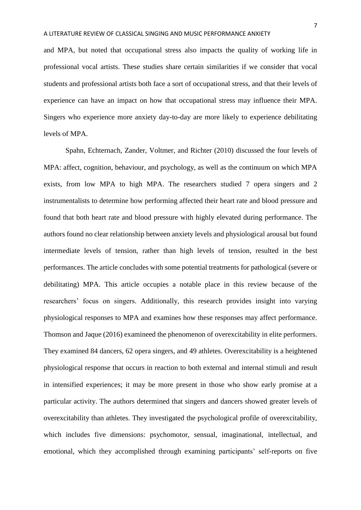and MPA, but noted that occupational stress also impacts the quality of working life in professional vocal artists. These studies share certain similarities if we consider that vocal students and professional artists both face a sort of occupational stress, and that their levels of experience can have an impact on how that occupational stress may influence their MPA. Singers who experience more anxiety day-to-day are more likely to experience debilitating levels of MPA.

Spahn, Echternach, Zander, Voltmer, and Richter (2010) discussed the four levels of MPA: affect, cognition, behaviour, and psychology, as well as the continuum on which MPA exists, from low MPA to high MPA. The researchers studied 7 opera singers and 2 instrumentalists to determine how performing affected their heart rate and blood pressure and found that both heart rate and blood pressure with highly elevated during performance. The authors found no clear relationship between anxiety levels and physiological arousal but found intermediate levels of tension, rather than high levels of tension, resulted in the best performances. The article concludes with some potential treatments for pathological (severe or debilitating) MPA. This article occupies a notable place in this review because of the researchers' focus on singers. Additionally, this research provides insight into varying physiological responses to MPA and examines how these responses may affect performance. Thomson and Jaque (2016) examineed the phenomenon of overexcitability in elite performers. They examined 84 dancers, 62 opera singers, and 49 athletes. Overexcitability is a heightened physiological response that occurs in reaction to both external and internal stimuli and result in intensified experiences; it may be more present in those who show early promise at a particular activity. The authors determined that singers and dancers showed greater levels of overexcitability than athletes. They investigated the psychological profile of overexcitability, which includes five dimensions: psychomotor, sensual, imaginational, intellectual, and emotional, which they accomplished through examining participants' self-reports on five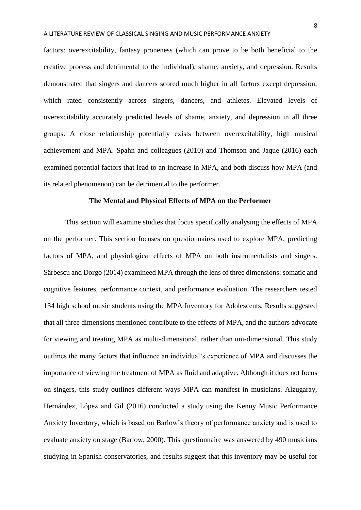factors: overexcitability, fantasy proneness (which can prove to be both beneficial to the creative process and detrimental to the individual), shame, anxiety, and depression. Results demonstrated that singers and dancers scored much higher in all factors except depression, which rated consistently across singers, dancers, and athletes. Elevated levels of overexcitability accurately predicted levels of shame, anxiety, and depression in all three groups. A close relationship potentially exists between overexcitability, high musical achievement and MPA. Spahn and colleagues (2010) and Thomson and Jaque (2016) each examined potential factors that lead to an increase in MPA, and both discuss how MPA (and its related phenomenon) can be detrimental to the performer.

# **The Mental and Physical Effects of MPA on the Performer**

This section will examine studies that focus specifically analysing the effects of MPA on the performer. This section focuses on questionnaires used to explore MPA, predicting factors of MPA, and physiological effects of MPA on both instrumentalists and singers. Sârbescu and Dorgo (2014) examineed MPA through the lens of three dimensions: somatic and cognitive features, performance context, and performance evaluation. The researchers tested 134 high school music students using the MPA Inventory for Adolescents. Results suggested that all three dimensions mentioned contribute to the effects of MPA, and the authors advocate for viewing and treating MPA as multi-dimensional, rather than uni-dimensional. This study outlines the many factors that influence an individual's experience of MPA and discusses the importance of viewing the treatment of MPA as fluid and adaptive. Although it does not focus on singers, this study outlines different ways MPA can manifest in musicians. Alzugaray, Hernández, López and Gil (2016) conducted a study using the Kenny Music Performance Anxiety Inventory, which is based on Barlow's theory of performance anxiety and is used to evaluate anxiety on stage (Barlow, 2000). This questionnaire was answered by 490 musicians studying in Spanish conservatories, and results suggest that this inventory may be useful for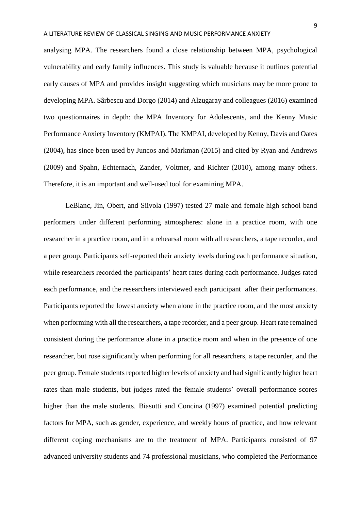analysing MPA. The researchers found a close relationship between MPA, psychological vulnerability and early family influences. This study is valuable because it outlines potential early causes of MPA and provides insight suggesting which musicians may be more prone to developing MPA. Sârbescu and Dorgo (2014) and Alzugaray and colleagues (2016) examined two questionnaires in depth: the MPA Inventory for Adolescents, and the Kenny Music Performance Anxiety Inventory (KMPAI). The KMPAI, developed by Kenny, Davis and Oates (2004), has since been used by Juncos and Markman (2015) and cited by Ryan and Andrews (2009) and Spahn, Echternach, Zander, Voltmer, and Richter (2010), among many others. Therefore, it is an important and well-used tool for examining MPA.

LeBlanc, Jin, Obert, and Siivola (1997) tested 27 male and female high school band performers under different performing atmospheres: alone in a practice room, with one researcher in a practice room, and in a rehearsal room with all researchers, a tape recorder, and a peer group. Participants self-reported their anxiety levels during each performance situation, while researchers recorded the participants' heart rates during each performance. Judges rated each performance, and the researchers interviewed each participant after their performances. Participants reported the lowest anxiety when alone in the practice room, and the most anxiety when performing with all the researchers, a tape recorder, and a peer group. Heart rate remained consistent during the performance alone in a practice room and when in the presence of one researcher, but rose significantly when performing for all researchers, a tape recorder, and the peer group. Female students reported higher levels of anxiety and had significantly higher heart rates than male students, but judges rated the female students' overall performance scores higher than the male students. Biasutti and Concina (1997) examined potential predicting factors for MPA, such as gender, experience, and weekly hours of practice, and how relevant different coping mechanisms are to the treatment of MPA. Participants consisted of 97 advanced university students and 74 professional musicians, who completed the Performance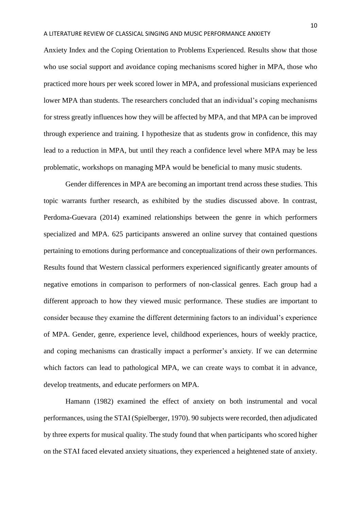Anxiety Index and the Coping Orientation to Problems Experienced. Results show that those who use social support and avoidance coping mechanisms scored higher in MPA, those who practiced more hours per week scored lower in MPA, and professional musicians experienced lower MPA than students. The researchers concluded that an individual's coping mechanisms for stress greatly influences how they will be affected by MPA, and that MPA can be improved through experience and training. I hypothesize that as students grow in confidence, this may lead to a reduction in MPA, but until they reach a confidence level where MPA may be less problematic, workshops on managing MPA would be beneficial to many music students.

Gender differences in MPA are becoming an important trend across these studies. This topic warrants further research, as exhibited by the studies discussed above. In contrast, Perdoma-Guevara (2014) examined relationships between the genre in which performers specialized and MPA. 625 participants answered an online survey that contained questions pertaining to emotions during performance and conceptualizations of their own performances. Results found that Western classical performers experienced significantly greater amounts of negative emotions in comparison to performers of non-classical genres. Each group had a different approach to how they viewed music performance. These studies are important to consider because they examine the different determining factors to an individual's experience of MPA. Gender, genre, experience level, childhood experiences, hours of weekly practice, and coping mechanisms can drastically impact a performer's anxiety. If we can determine which factors can lead to pathological MPA, we can create ways to combat it in advance, develop treatments, and educate performers on MPA.

Hamann (1982) examined the effect of anxiety on both instrumental and vocal performances, using the STAI (Spielberger, 1970). 90 subjects were recorded, then adjudicated by three experts for musical quality. The study found that when participants who scored higher on the STAI faced elevated anxiety situations, they experienced a heightened state of anxiety.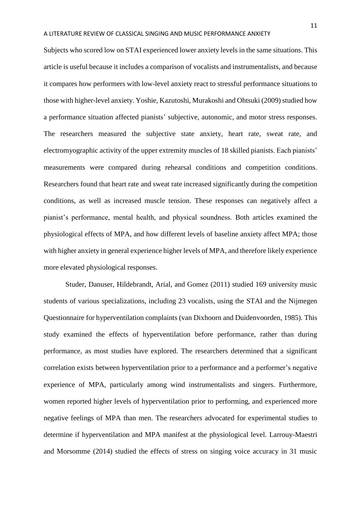Subjects who scored low on STAI experienced lower anxiety levels in the same situations. This article is useful because it includes a comparison of vocalists and instrumentalists, and because it compares how performers with low-level anxiety react to stressful performance situations to those with higher-level anxiety. Yoshie, Kazutoshi, Murakoshi and Ohtsuki (2009) studied how a performance situation affected pianists' subjective, autonomic, and motor stress responses. The researchers measured the subjective state anxiety, heart rate, sweat rate, and electromyographic activity of the upper extremity muscles of 18 skilled pianists. Each pianists' measurements were compared during rehearsal conditions and competition conditions. Researchers found that heart rate and sweat rate increased significantly during the competition conditions, as well as increased muscle tension. These responses can negatively affect a pianist's performance, mental health, and physical soundness. Both articles examined the physiological effects of MPA, and how different levels of baseline anxiety affect MPA; those with higher anxiety in general experience higher levels of MPA, and therefore likely experience more elevated physiological responses.

Studer, Danuser, Hildebrandt, Arial, and Gomez (2011) studied 169 university music students of various specializations, including 23 vocalists, using the STAI and the Nijmegen Questionnaire for hyperventilation complaints (van Dixhoorn and Duidenvoorden, 1985). This study examined the effects of hyperventilation before performance, rather than during performance, as most studies have explored. The researchers determined that a significant correlation exists between hyperventilation prior to a performance and a performer's negative experience of MPA, particularly among wind instrumentalists and singers. Furthermore, women reported higher levels of hyperventilation prior to performing, and experienced more negative feelings of MPA than men. The researchers advocated for experimental studies to determine if hyperventilation and MPA manifest at the physiological level. Larrouy-Maestri and Morsomme (2014) studied the effects of stress on singing voice accuracy in 31 music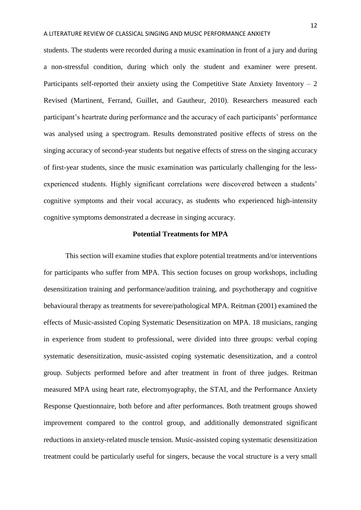students. The students were recorded during a music examination in front of a jury and during a non-stressful condition, during which only the student and examiner were present. Participants self-reported their anxiety using the Competitive State Anxiety Inventory  $-2$ Revised (Martinent, Ferrand, Guillet, and Gautheur, 2010). Researchers measured each participant's heartrate during performance and the accuracy of each participants' performance was analysed using a spectrogram. Results demonstrated positive effects of stress on the singing accuracy of second-year students but negative effects of stress on the singing accuracy of first-year students, since the music examination was particularly challenging for the lessexperienced students. Highly significant correlations were discovered between a students' cognitive symptoms and their vocal accuracy, as students who experienced high-intensity cognitive symptoms demonstrated a decrease in singing accuracy.

# **Potential Treatments for MPA**

This section will examine studies that explore potential treatments and/or interventions for participants who suffer from MPA. This section focuses on group workshops, including desensitization training and performance/audition training, and psychotherapy and cognitive behavioural therapy as treatments for severe/pathological MPA. Reitman (2001) examined the effects of Music-assisted Coping Systematic Desensitization on MPA. 18 musicians, ranging in experience from student to professional, were divided into three groups: verbal coping systematic desensitization, music-assisted coping systematic desensitization, and a control group. Subjects performed before and after treatment in front of three judges. Reitman measured MPA using heart rate, electromyography, the STAI, and the Performance Anxiety Response Questionnaire, both before and after performances. Both treatment groups showed improvement compared to the control group, and additionally demonstrated significant reductions in anxiety-related muscle tension. Music-assisted coping systematic desensitization treatment could be particularly useful for singers, because the vocal structure is a very small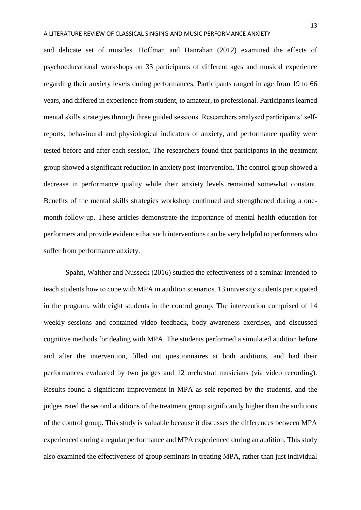and delicate set of muscles. Hoffman and Hanrahan (2012) examined the effects of psychoeducational workshops on 33 participants of different ages and musical experience regarding their anxiety levels during performances. Participants ranged in age from 19 to 66 years, and differed in experience from student, to amateur, to professional. Participants learned mental skills strategies through three guided sessions. Researchers analysed participants' selfreports, behavioural and physiological indicators of anxiety, and performance quality were tested before and after each session. The researchers found that participants in the treatment group showed a significant reduction in anxiety post-intervention. The control group showed a decrease in performance quality while their anxiety levels remained somewhat constant. Benefits of the mental skills strategies workshop continued and strengthened during a onemonth follow-up. These articles demonstrate the importance of mental health education for performers and provide evidence that such interventions can be very helpful to performers who suffer from performance anxiety.

Spahn, Walther and Nusseck (2016) studied the effectiveness of a seminar intended to teach students how to cope with MPA in audition scenarios. 13 university students participated in the program, with eight students in the control group. The intervention comprised of 14 weekly sessions and contained video feedback, body awareness exercises, and discussed cognitive methods for dealing with MPA. The students performed a simulated audition before and after the intervention, filled out questionnaires at both auditions, and had their performances evaluated by two judges and 12 orchestral musicians (via video recording). Results found a significant improvement in MPA as self-reported by the students, and the judges rated the second auditions of the treatment group significantly higher than the auditions of the control group. This study is valuable because it discusses the differences between MPA experienced during a regular performance and MPA experienced during an audition. This study also examined the effectiveness of group seminars in treating MPA, rather than just individual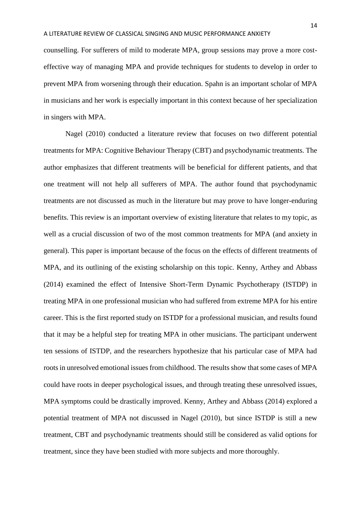counselling. For sufferers of mild to moderate MPA, group sessions may prove a more costeffective way of managing MPA and provide techniques for students to develop in order to prevent MPA from worsening through their education. Spahn is an important scholar of MPA in musicians and her work is especially important in this context because of her specialization in singers with MPA.

Nagel (2010) conducted a literature review that focuses on two different potential treatments for MPA: Cognitive Behaviour Therapy (CBT) and psychodynamic treatments. The author emphasizes that different treatments will be beneficial for different patients, and that one treatment will not help all sufferers of MPA. The author found that psychodynamic treatments are not discussed as much in the literature but may prove to have longer-enduring benefits. This review is an important overview of existing literature that relates to my topic, as well as a crucial discussion of two of the most common treatments for MPA (and anxiety in general). This paper is important because of the focus on the effects of different treatments of MPA, and its outlining of the existing scholarship on this topic. Kenny, Arthey and Abbass (2014) examined the effect of Intensive Short-Term Dynamic Psychotherapy (ISTDP) in treating MPA in one professional musician who had suffered from extreme MPA for his entire career. This is the first reported study on ISTDP for a professional musician, and results found that it may be a helpful step for treating MPA in other musicians. The participant underwent ten sessions of ISTDP, and the researchers hypothesize that his particular case of MPA had roots in unresolved emotional issues from childhood. The results show that some cases of MPA could have roots in deeper psychological issues, and through treating these unresolved issues, MPA symptoms could be drastically improved. Kenny, Arthey and Abbass (2014) explored a potential treatment of MPA not discussed in Nagel (2010), but since ISTDP is still a new treatment, CBT and psychodynamic treatments should still be considered as valid options for treatment, since they have been studied with more subjects and more thoroughly.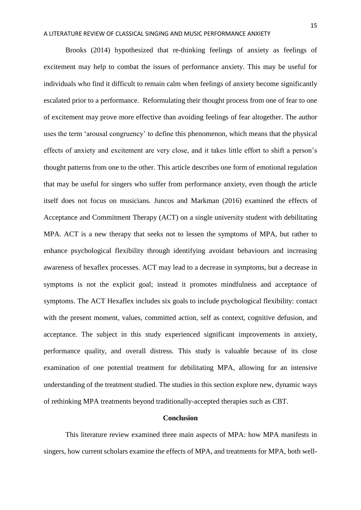Brooks (2014) hypothesized that re-thinking feelings of anxiety as feelings of excitement may help to combat the issues of performance anxiety. This may be useful for individuals who find it difficult to remain calm when feelings of anxiety become significantly escalated prior to a performance. Reformulating their thought process from one of fear to one of excitement may prove more effective than avoiding feelings of fear altogether. The author uses the term 'arousal congruency' to define this phenomenon, which means that the physical effects of anxiety and excitement are very close, and it takes little effort to shift a person's thought patterns from one to the other. This article describes one form of emotional regulation that may be useful for singers who suffer from performance anxiety, even though the article itself does not focus on musicians. Juncos and Markman (2016) examined the effects of Acceptance and Commitment Therapy (ACT) on a single university student with debilitating MPA. ACT is a new therapy that seeks not to lessen the symptoms of MPA, but rather to enhance psychological flexibility through identifying avoidant behaviours and increasing awareness of hexaflex processes. ACT may lead to a decrease in symptoms, but a decrease in symptoms is not the explicit goal; instead it promotes mindfulness and acceptance of symptoms. The ACT Hexaflex includes six goals to include psychological flexibility: contact with the present moment, values, committed action, self as context, cognitive defusion, and acceptance. The subject in this study experienced significant improvements in anxiety, performance quality, and overall distress. This study is valuable because of its close examination of one potential treatment for debilitating MPA, allowing for an intensive understanding of the treatment studied. The studies in this section explore new, dynamic ways of rethinking MPA treatments beyond traditionally-accepted therapies such as CBT.

# **Conclusion**

This literature review examined three main aspects of MPA: how MPA manifests in singers, how current scholars examine the effects of MPA, and treatments for MPA, both well-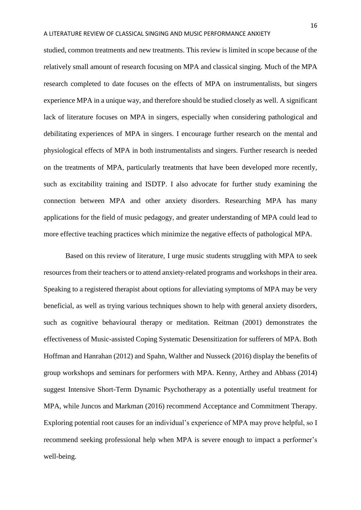studied, common treatments and new treatments. This review is limited in scope because of the relatively small amount of research focusing on MPA and classical singing. Much of the MPA research completed to date focuses on the effects of MPA on instrumentalists, but singers experience MPA in a unique way, and therefore should be studied closely as well. A significant lack of literature focuses on MPA in singers, especially when considering pathological and debilitating experiences of MPA in singers. I encourage further research on the mental and physiological effects of MPA in both instrumentalists and singers. Further research is needed on the treatments of MPA, particularly treatments that have been developed more recently, such as excitability training and ISDTP. I also advocate for further study examining the connection between MPA and other anxiety disorders. Researching MPA has many applications for the field of music pedagogy, and greater understanding of MPA could lead to more effective teaching practices which minimize the negative effects of pathological MPA.

Based on this review of literature, I urge music students struggling with MPA to seek resources from their teachers or to attend anxiety-related programs and workshops in their area. Speaking to a registered therapist about options for alleviating symptoms of MPA may be very beneficial, as well as trying various techniques shown to help with general anxiety disorders, such as cognitive behavioural therapy or meditation. Reitman (2001) demonstrates the effectiveness of Music-assisted Coping Systematic Desensitization for sufferers of MPA. Both Hoffman and Hanrahan (2012) and Spahn, Walther and Nusseck (2016) display the benefits of group workshops and seminars for performers with MPA. Kenny, Arthey and Abbass (2014) suggest Intensive Short-Term Dynamic Psychotherapy as a potentially useful treatment for MPA, while Juncos and Markman (2016) recommend Acceptance and Commitment Therapy. Exploring potential root causes for an individual's experience of MPA may prove helpful, so I recommend seeking professional help when MPA is severe enough to impact a performer's well-being.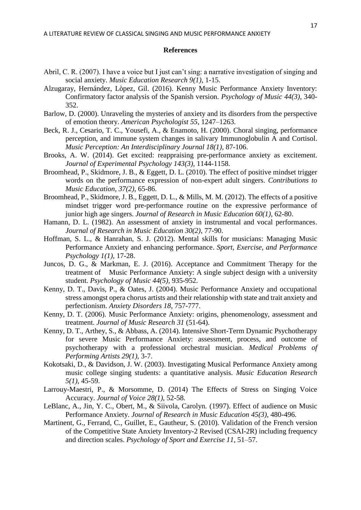### **References**

- Abril, C. R. (2007). I have a voice but I just can't sing: a narrative investigation of singing and social anxiety. *Music Education Research 9(1)*, 1-15.
- Alzugaray, Hernández, Lòpez, Gil. (2016). Kenny Music Performance Anxiety Inventory: Confirmatory factor analysis of the Spanish version. *Psychology of Music 44(3)*, 340- 352.
- Barlow, D. (2000). Unraveling the mysteries of anxiety and its disorders from the perspective of emotion theory. *American Psychologist 55*, 1247–1263.
- Beck, R. J., Cesario, T. C., Yousefi, A., & Enamoto, H. (2000). Choral singing, performance perception, and immune system changes in salivary Immunoglobulin A and Cortisol. *Music Perception: An Interdisciplinary Journal 18(1)*, 87-106.
- Brooks, A. W. (2014). Get excited: reappraising pre-performance anxiety as excitement. *Journal of Experimental Psychology 143(3)*, 1144-1158.
- Broomhead, P., Skidmore, J. B., & Eggett, D. L. (2010). The effect of positive mindset trigger words on the performance expression of non-expert adult singers. *Contributions to Music Education, 37(2)*, 65-86.
- Broomhead, P., Skidmore, J. B., Eggett, D. L., & Mills, M. M. (2012). The effects of a positive mindset trigger word pre-performance routine on the expressive performance of junior high age singers. *Journal of Research in Music Education 60(1)*, 62-80.
- Hamann, D. L. (1982). An assessment of anxiety in instrumental and vocal performances. *Journal of Research in Music Education 30(2)*, 77-90.
- Hoffman, S. L., & Hanrahan, S. J. (2012). Mental skills for musicians: Managing Music Performance Anxiety and enhancing performance. *Sport, Exercise, and Performance Psychology 1(1)*, 17-28.
- Juncos, D. G., & Markman, E. J. (2016). Acceptance and Commitment Therapy for the treatment of Music Performance Anxiety: A single subject design with a university student. *Psychology of Music 44(5)*, 935-952.
- Kenny, D. T., Davis, P., & Oates, J. (2004). Music Performance Anxiety and occupational stress amongst opera chorus artists and their relationship with state and trait anxiety and perfectionism. *Anxiety Disorders 18*, 757-777.
- Kenny, D. T. (2006). Music Performance Anxiety: origins, phenomenology, assessment and treatment. *Journal of Music Research 31* (51-64).
- Kenny, D. T., Arthey, S., & Abbass, A. (2014). Intensive Short-Term Dynamic Psychotherapy for severe Music Performance Anxiety: assessment, process, and outcome of psychotherapy with a professional orchestral musician. *Medical Problems of Performing Artists 29(1)*, 3-7.
- Kokotsaki, D., & Davidson, J. W. (2003). Investigating Musical Performance Anxiety among music college singing students: a quantitative analysis. *Music Education Research 5(1)*, 45-59.
- Larrouy-Maestri, P., & Morsomme, D. (2014) The Effects of Stress on Singing Voice Accuracy. *Journal of Voice 28(1)*, 52-58.
- LeBlanc, A., Jin, Y. C., Obert, M., & Siivola, Carolyn. (1997). Effect of audience on Music Performance Anxiety. *Journal of Research in Music Education 45(3)*, 480-496.
- Martinent, G., Ferrand, C., Guillet, E., Gautheur, S. (2010). Validation of the French version of the Competitive State Anxiety Inventory-2 Revised (CSAI-2R) including frequency and direction scales. *Psychology of Sport and Exercise 11,* 51–57.